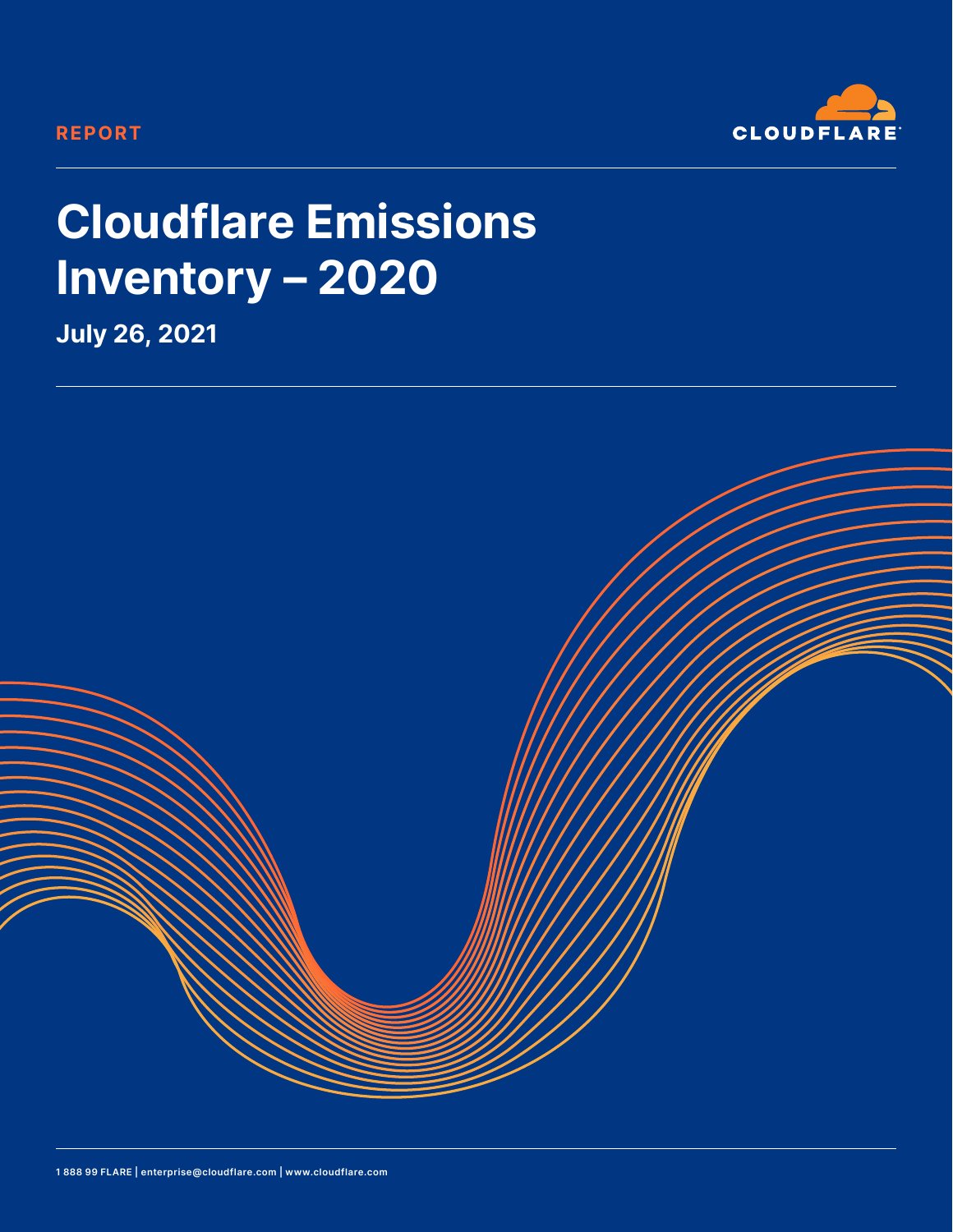#### **REPORT**



# **Cloudflare Emissions Inventory – 2020**

**July 26, 2021**

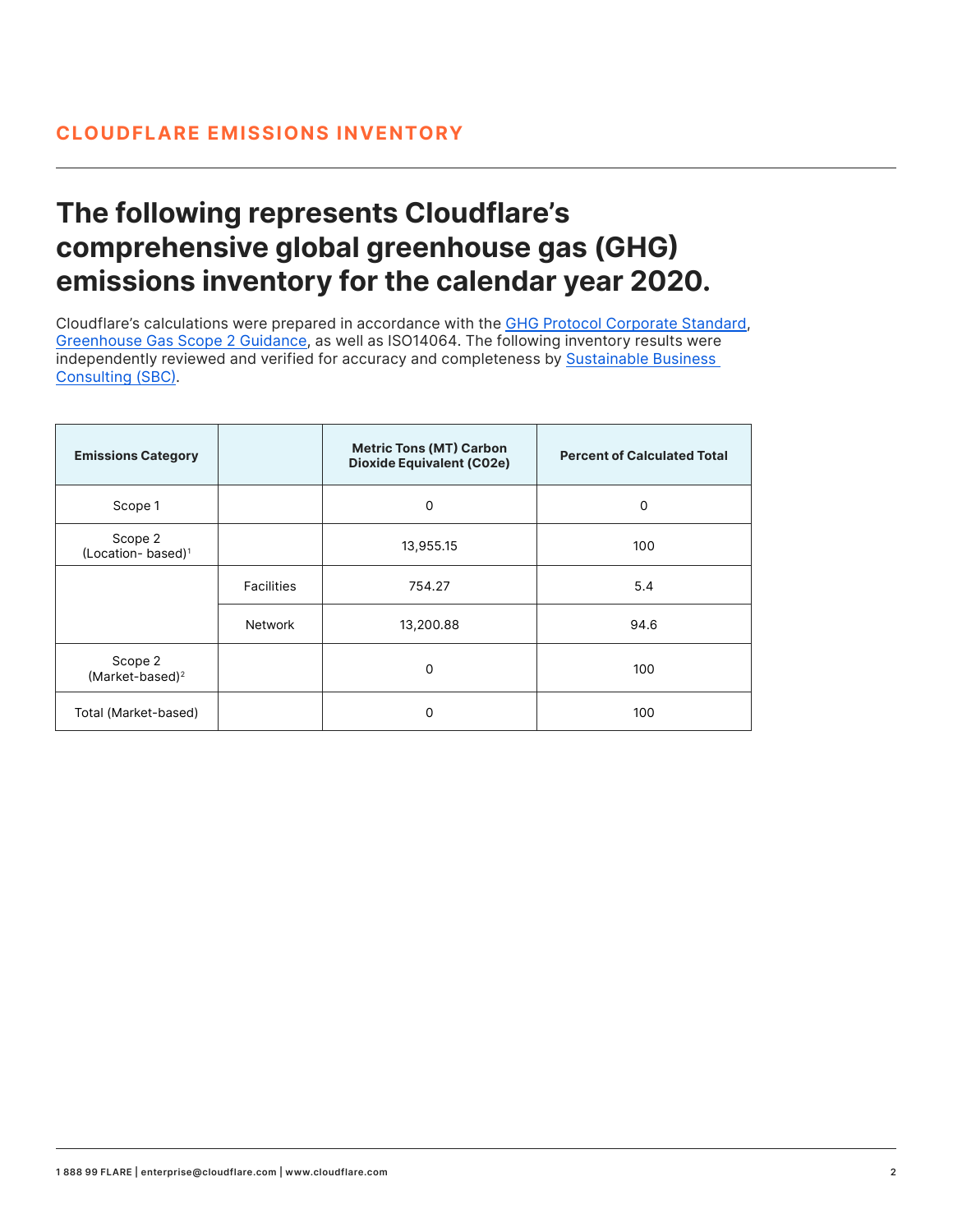## **The following represents Cloudflare's comprehensive global greenhouse gas (GHG) emissions inventory for the calendar year 2020.**

Cloudflare's calculations were prepared in accordance with the [GHG Protocol Corporate Standard,](https://ghgprotocol.org/sites/default/files/standards/ghg-protocol-revised.pdf)  [Greenhouse Gas Scope 2 Guidance,](https://ghgprotocol.org/scope_2_guidance) as well as ISO14064. The following inventory results were independently reviewed and verified for accuracy and completeness by [Sustainable Business](https://sustainablebizconsulting.com/)  [Consulting \(SBC\)](https://sustainablebizconsulting.com/).

| <b>Emissions Category</b>                |                   | <b>Metric Tons (MT) Carbon</b><br><b>Dioxide Equivalent (C02e)</b> | <b>Percent of Calculated Total</b> |
|------------------------------------------|-------------------|--------------------------------------------------------------------|------------------------------------|
| Scope 1                                  |                   | 0                                                                  | $\mathbf 0$                        |
| Scope 2<br>(Location-based) <sup>1</sup> |                   | 13,955.15                                                          | 100                                |
|                                          | <b>Facilities</b> | 754.27                                                             | 5.4                                |
|                                          | <b>Network</b>    | 13,200.88                                                          | 94.6                               |
| Scope 2<br>(Market-based) <sup>2</sup>   |                   | $\mathbf 0$                                                        | 100                                |
| Total (Market-based)                     |                   | 0                                                                  | 100                                |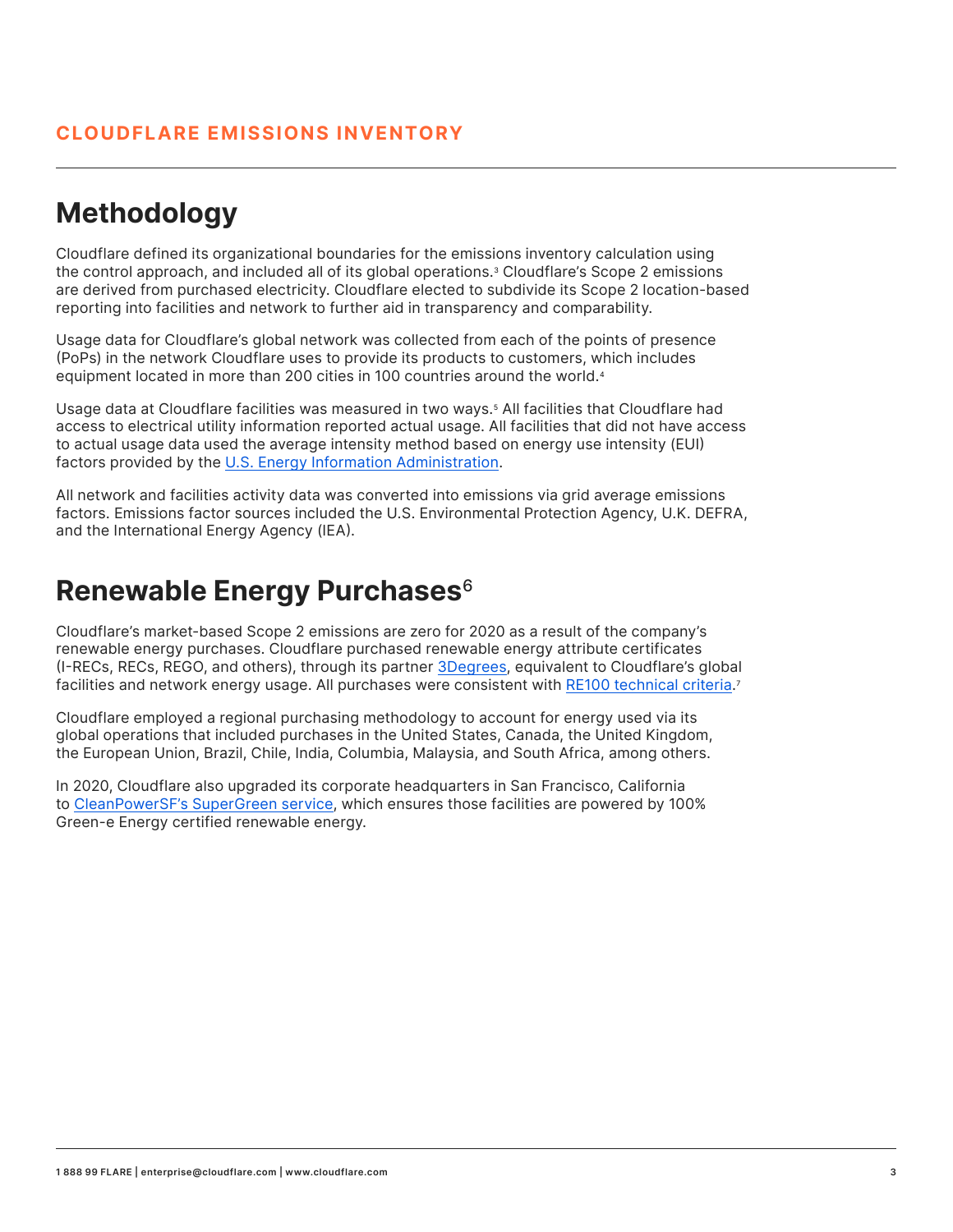## **Methodology**

Cloudflare defined its organizational boundaries for the emissions inventory calculation using the control approach, and included all of its global operations.3 Cloudflare's Scope 2 emissions are derived from purchased electricity. Cloudflare elected to subdivide its Scope 2 location-based reporting into facilities and network to further aid in transparency and comparability.

Usage data for Cloudflare's global network was collected from each of the points of presence (PoPs) in the network Cloudflare uses to provide its products to customers, which includes equipment located in more than 200 cities in 100 countries around the world.<sup>4</sup>

Usage data at Cloudflare facilities was measured in two ways.5 All facilities that Cloudflare had access to electrical utility information reported actual usage. All facilities that did not have access to actual usage data used the average intensity method based on energy use intensity (EUI) factors provided by the U.S. Energy Information Administration.

All network and facilities activity data was converted into emissions via grid average emissions factors. Emissions factor sources included the U.S. Environmental Protection Agency, U.K. DEFRA, and the International Energy Agency (IEA).

### **Renewable Energy Purchases**6

Cloudflare's market-based Scope 2 emissions are zero for 2020 as a result of the company's renewable energy purchases. Cloudflare purchased renewable energy attribute certificates (I-RECs, RECs, REGO, and others), through its partner [3Degrees, e](https://3degreesinc.com/)quivalent to Cloudflare's global facilities and network energy usage. All purchases were consistent with RE100 technical criteria.<sup>7</sup>

Cloudflare employed a regional purchasing methodology to account for energy used via its global operations that included purchases in the United States, Canada, the United Kingdom, the European Union, Brazil, Chile, India, Columbia, Malaysia, and South Africa, among others.

In 2020, Cloudflare also upgraded its corporate headquarters in San Francisco, California to [CleanPowerSF's SuperGreen service,](https://www.cleanpowersf.org/supergreen) which ensures those facilities are powered by 100% Green-e Energy certified renewable energy.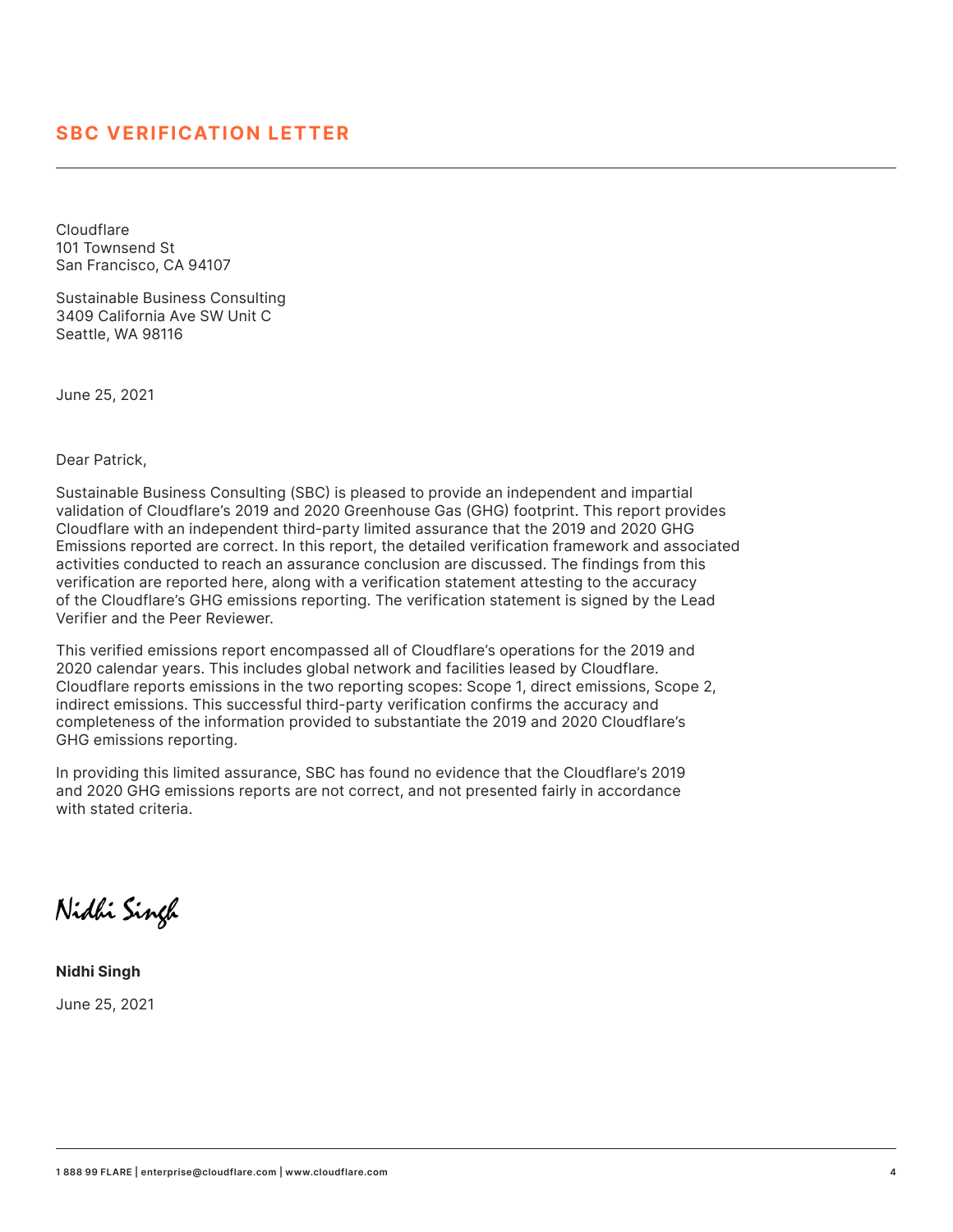**Cloudflare** 101 Townsend St San Francisco, CA 94107

Sustainable Business Consulting 3409 California Ave SW Unit C Seattle, WA 98116

June 25, 2021

Dear Patrick,

Sustainable Business Consulting (SBC) is pleased to provide an independent and impartial validation of Cloudflare's 2019 and 2020 Greenhouse Gas (GHG) footprint. This report provides Cloudflare with an independent third-party limited assurance that the 2019 and 2020 GHG Emissions reported are correct. In this report, the detailed verification framework and associated activities conducted to reach an assurance conclusion are discussed. The findings from this verification are reported here, along with a verification statement attesting to the accuracy of the Cloudflare's GHG emissions reporting. The verification statement is signed by the Lead Verifier and the Peer Reviewer.

This verified emissions report encompassed all of Cloudflare's operations for the 2019 and 2020 calendar years. This includes global network and facilities leased by Cloudflare. Cloudflare reports emissions in the two reporting scopes: Scope 1, direct emissions, Scope 2, indirect emissions. This successful third-party verification confirms the accuracy and completeness of the information provided to substantiate the 2019 and 2020 Cloudflare's GHG emissions reporting.

In providing this limited assurance, SBC has found no evidence that the Cloudflare's 2019 and 2020 GHG emissions reports are not correct, and not presented fairly in accordance with stated criteria.

Nidhi Singh

**Nidhi Singh** June 25, 2021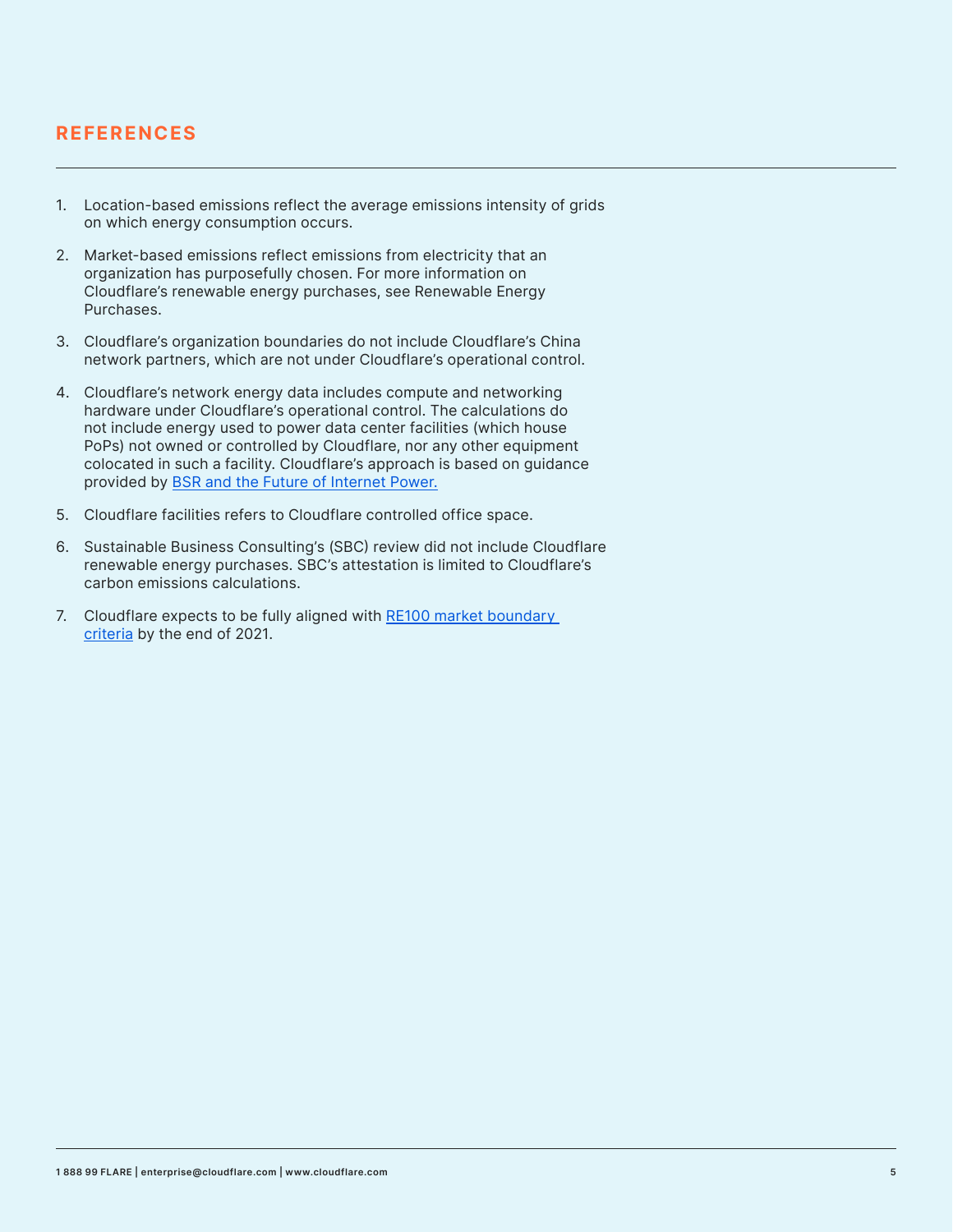#### **REFERENCES**

- 1. Location-based emissions reflect the average emissions intensity of grids on which energy consumption occurs.
- 2. Market-based emissions reflect emissions from electricity that an organization has purposefully chosen. For more information on Cloudflare's renewable energy purchases, see Renewable Energy Purchases.
- 3. Cloudflare's organization boundaries do not include Cloudflare's China network partners, which are not under Cloudflare's operational control.
- 4. Cloudflare's network energy data includes compute and networking hardware under Cloudflare's operational control. The calculations do not include energy used to power data center facilities (which house PoPs) not owned or controlled by Cloudflare, nor any other equipment colocated in such a facility. Cloudflare's approach is based on guidance provided by [BSR and the Future of Internet Power.](https://www.bsr.org/reports/BSR_Future_of_Internet_Power_GHG_Emissions_Report.pdf)
- 5. Cloudflare facilities refers to Cloudflare controlled office space.
- 6. Sustainable Business Consulting's (SBC) review did not include Cloudflare renewable energy purchases. SBC's attestation is limited to Cloudflare's carbon emissions calculations.
- 7. Cloudflare expects to be fully aligned with RE100 market boundary [criteria b](https://www.there100.org/technical-guidance)y the end of 2021.